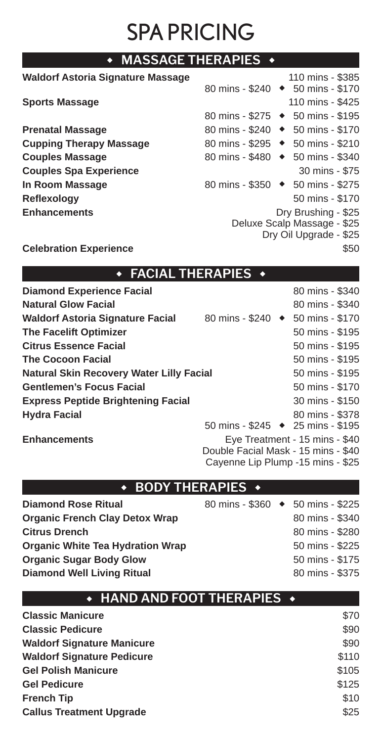# SPA PRICING

| $\;\bullet\;$ MASSAGE THERAPIES $\;\bullet\;$ |                                               |
|-----------------------------------------------|-----------------------------------------------|
| <b>Waldorf Astoria Signature Massage</b>      | 110 mins - \$385                              |
|                                               | 80 mins - \$240 → 50 mins - \$170             |
| <b>Sports Massage</b>                         | 110 mins - \$425                              |
|                                               | 80 mins - \$275 → 50 mins - \$195             |
| <b>Prenatal Massage</b>                       | 80 mins - \$240 → 50 mins - \$170             |
| <b>Cupping Therapy Massage</b>                | 80 mins - \$295 → 50 mins - \$210             |
| <b>Couples Massage</b>                        | 80 mins - \$480 $\rightarrow$ 50 mins - \$340 |
| <b>Couples Spa Experience</b>                 | 30 mins - \$75                                |
| In Room Massage                               | 80 mins - \$350 → 50 mins - \$275             |
| Reflexology                                   | 50 mins - \$170                               |
| <b>Enhancements</b>                           | Dry Brushing - \$25                           |
|                                               | Deluxe Scalp Massage - \$25                   |
|                                               | Dry Oil Upgrade - \$25                        |
| <b>Celebration Experience</b>                 | \$50                                          |

### ◆ **FACIAL THERAPIES** ◆

| <b>Diamond Experience Facial</b>          |                                   | 80 mins - \$340                |
|-------------------------------------------|-----------------------------------|--------------------------------|
| <b>Natural Glow Facial</b>                |                                   | 80 mins - \$340                |
| <b>Waldorf Astoria Signature Facial</b>   | 80 mins - \$240 → 50 mins - \$170 |                                |
| The Facelift Optimizer                    |                                   | 50 mins - \$195                |
| <b>Citrus Essence Facial</b>              |                                   | 50 mins - \$195                |
| <b>The Cocoon Facial</b>                  |                                   | 50 mins - \$195                |
| Natural Skin Recovery Water Lilly Facial  |                                   | 50 mins - \$195                |
| <b>Gentlemen's Focus Facial</b>           |                                   | 50 mins - \$170                |
| <b>Express Peptide Brightening Facial</b> |                                   | 30 mins - \$150                |
| <b>Hydra Facial</b>                       |                                   | 80 mins - \$378                |
|                                           | 50 mins - \$245 → 25 mins - \$195 |                                |
| <b>Enhancements</b>                       |                                   | Eye Treatment - 15 mins - \$40 |

Double Facial Mask - 15 mins - \$40 Cayenne Lip Plump -15 mins - \$25

### ◆ **BODY THERAPIES** ◆

| <b>Diamond Rose Ritual</b>              | 80 mins - \$360 → 50 mins - \$225 |                 |
|-----------------------------------------|-----------------------------------|-----------------|
| <b>Organic French Clay Detox Wrap</b>   |                                   | 80 mins - \$340 |
| <b>Citrus Drench</b>                    |                                   | 80 mins - \$280 |
| <b>Organic White Tea Hydration Wrap</b> |                                   | 50 mins - \$225 |
| <b>Organic Sugar Body Glow</b>          |                                   | 50 mins - \$175 |
| <b>Diamond Well Living Ritual</b>       |                                   | 80 mins - \$375 |
|                                         |                                   |                 |

| $\bullet$ HAND AND FOOT THERAPIES $\,\bullet\,$ |       |
|-------------------------------------------------|-------|
| <b>Classic Manicure</b>                         | \$70  |
| <b>Classic Pedicure</b>                         | \$90  |
| <b>Waldorf Signature Manicure</b>               | \$90  |
| <b>Waldorf Signature Pedicure</b>               | \$110 |
| <b>Gel Polish Manicure</b>                      | \$105 |
| <b>Gel Pedicure</b>                             | \$125 |
| <b>French Tip</b>                               | \$10  |
| <b>Callus Treatment Upgrade</b>                 | \$25  |